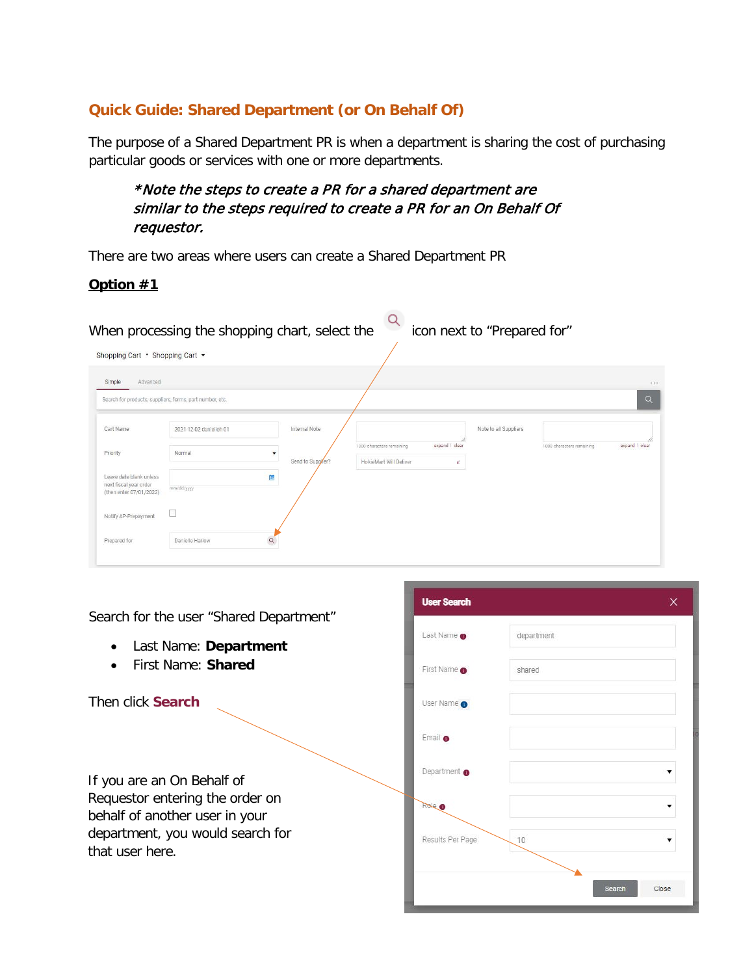## **Quick Guide: Shared Department (or On Behalf Of)**

The purpose of a Shared Department PR is when a department is sharing the cost of purchasing particular goods or services with one or more departments.

\*Note the steps to create a PR for a shared department are similar to the steps required to create a PR for an On Behalf Of requestor.

There are two areas where users can create a Shared Department PR

## **Option #1**

When processing the shopping chart, select the icon next to "Prepared for"

Shopping Cart • Shopping Cart •

|                                                                              | Search for products, suppliers, forms, part number, etc. |                                             |                                                     |                     |                       |                           | $\alpha$       |
|------------------------------------------------------------------------------|----------------------------------------------------------|---------------------------------------------|-----------------------------------------------------|---------------------|-----------------------|---------------------------|----------------|
| Cart Name                                                                    | 2021-12-02 danielleh 01                                  | Internal Note                               |                                                     |                     | Note to all Suppliers |                           |                |
| Priority                                                                     | Normal                                                   | $\overline{\mathbf{v}}$<br>Send to Suppler? | 1000 characters remaining<br>HokieMart Will Deliver | expand   clear<br>V |                       | 1000 characters remaining | expand   clear |
| Leave date blank unless<br>next fiscal year order<br>(then enter 07/01/2022) | mm/dd/yyyy                                               | È                                           |                                                     |                     |                       |                           |                |
| Notify AP-Prepayment                                                         | $\sim$                                                   |                                             |                                                     |                     |                       |                           |                |

Search for the user "Shared Department"

- Last Name: **Department**
- First Name: **Shared**

Then click **Search**

If you are an On Behalf of Requestor entering the order on behalf of another user in your department, you would search for that user here.

| <b>User Search</b>      |            | X               |
|-------------------------|------------|-----------------|
| Last Name <b>O</b>      | department |                 |
| First Name <b>O</b>     | shared     |                 |
| User Name O             |            |                 |
| Email O                 |            |                 |
| Department <sup>O</sup> |            |                 |
| Roke                    |            | v               |
| Results Per Page        | 10         |                 |
|                         |            | Search<br>Close |